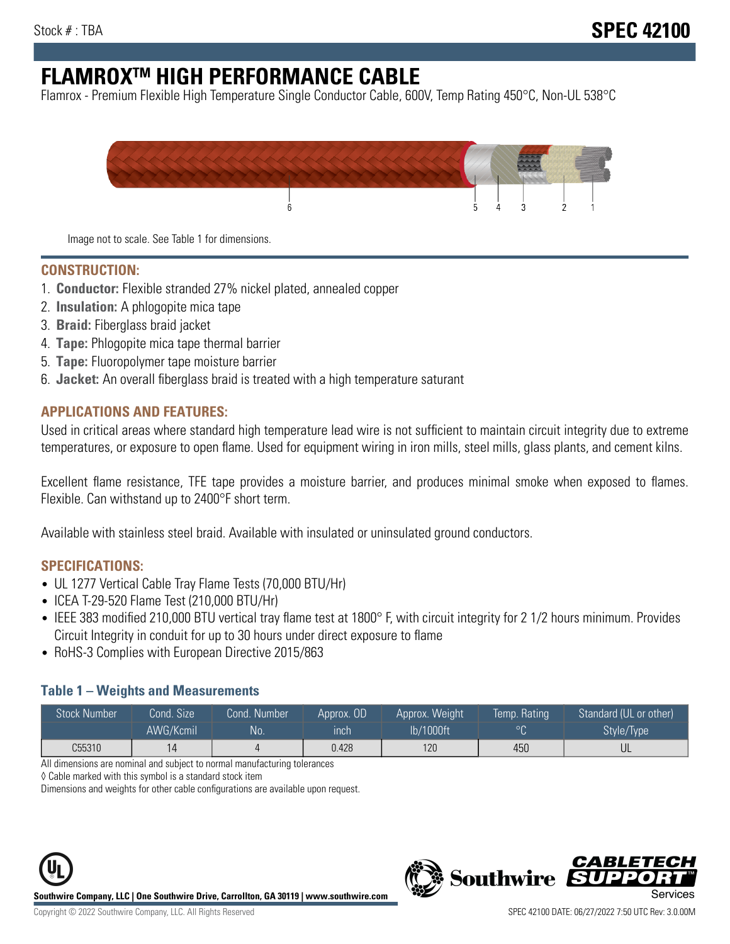# **FLAMROXTM HIGH PERFORMANCE CABLE**

Flamrox - Premium Flexible High Temperature Single Conductor Cable, 600V, Temp Rating 450°C, Non-UL 538°C



Image not to scale. See Table 1 for dimensions.

#### **CONSTRUCTION:**

- 1. **Conductor:** Flexible stranded 27% nickel plated, annealed copper
- 2. **Insulation:** A phlogopite mica tape
- 3. **Braid:** Fiberglass braid jacket
- 4. **Tape:** Phlogopite mica tape thermal barrier
- 5. **Tape:** Fluoropolymer tape moisture barrier
- 6. **Jacket:** An overall fiberglass braid is treated with a high temperature saturant

#### **APPLICATIONS AND FEATURES:**

Used in critical areas where standard high temperature lead wire is not sufficient to maintain circuit integrity due to extreme temperatures, or exposure to open flame. Used for equipment wiring in iron mills, steel mills, glass plants, and cement kilns.

Excellent flame resistance, TFE tape provides a moisture barrier, and produces minimal smoke when exposed to flames. Flexible. Can withstand up to 2400°F short term.

Available with stainless steel braid. Available with insulated or uninsulated ground conductors.

#### **SPECIFICATIONS:**

- UL 1277 Vertical Cable Tray Flame Tests (70,000 BTU/Hr)
- ICEA T-29-520 Flame Test (210,000 BTU/Hr)
- IEEE 383 modified 210,000 BTU vertical tray flame test at 1800° F, with circuit integrity for 2 1/2 hours minimum. Provides Circuit Integrity in conduit for up to 30 hours under direct exposure to flame
- RoHS-3 Complies with European Directive 2015/863

#### **Table 1 – Weights and Measurements**

| <b>Stock Number</b> | Cond. Size | Cond. Number | Approx. OD | Approx. Weight | Temp. Rating | Standard (UL or other)  |
|---------------------|------------|--------------|------------|----------------|--------------|-------------------------|
|                     | AWG/Kcmil  | <b>No</b>    | inch       | lb/1000ft      | $\circ$      | Style/Type <sup>1</sup> |
| C55310              |            |              | 0.428      | 120            | 450          | UL                      |

All dimensions are nominal and subject to normal manufacturing tolerances

◊ Cable marked with this symbol is a standard stock item

Dimensions and weights for other cable configurations are available upon request.